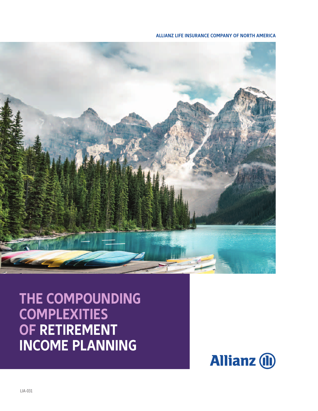**ALLIANZ LIFE INSURANCE COMPANY OF NORTH AMERICA**



**THE COMPOUNDING COMPLEXITIES OF RETIREMENT INCOME PLANNING**

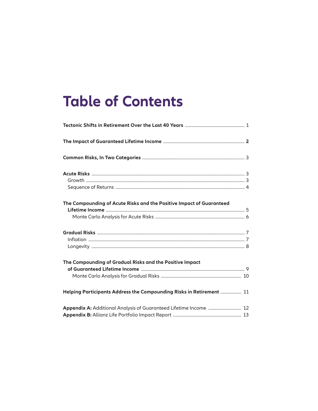## **Table of Contents**

| The Compounding of Acute Risks and the Positive Impact of Guaranteed |  |
|----------------------------------------------------------------------|--|
|                                                                      |  |
| The Compounding of Gradual Risks and the Positive Impact             |  |
|                                                                      |  |
| Helping Participants Address the Compounding Risks in Retirement  11 |  |
| Appendix A: Additional Analysis of Guaranteed Lifetime Income  12    |  |
|                                                                      |  |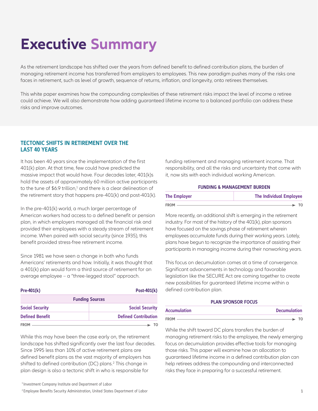# **Executive Summary**

As the retirement landscape has shifted over the years from defined benefit to defined contribution plans, the burden of managing retirement income has transferred from employers to employees. This new paradigm pushes many of the risks one faces in retirement, such as level of growth, sequence of returns, inflation, and longevity, onto retirees themselves.

This white paper examines how the compounding complexities of these retirement risks impact the level of income a retiree could achieve. We will also demonstrate how adding guaranteed lifetime income to a balanced portfolio can address these risks and improve outcomes.

## **TECTONIC SHIFTS IN RETIREMENT OVER THE LAST 40 YEARS**

It has been 40 years since the implementation of the first 401(k) plan. At that time, few could have predicted the massive impact that would have. Four decades later, 401(k)s hold the assets of approximately 60 million active participants to the tune of  $$6.9$  trillion, $^1$  and there is a clear delineation of the retirement story that happens pre-401(k) and post-401(k).

In the pre-401(k) world, a much larger percentage of American workers had access to a defined benefit or pension plan, in which employers managed all the financial risk and provided their employees with a steady stream of retirement income. When paired with social security (since 1935), this benefit provided stress-free retirement income.

Since 1981 we have seen a change in both who funds Americans' retirements and how. Initially, it was thought that a 401(k) plan would form a third source of retirement for an average employee – a "three-legged stool" approach.

| $Pre-401(k)$           | Post-401(k)                 |
|------------------------|-----------------------------|
|                        | <b>Funding Sources</b>      |
| <b>Social Security</b> | <b>Social Security</b>      |
| <b>Defined Benefit</b> | <b>Defined Contribution</b> |
| <b>FROM</b>            |                             |

While this may have been the case early on, the retirement landscape has shifted significantly over the last four decades. Since 1995 less than 10% of active retirement plans are defined benefit plans as the vast majority of employers has shifted to defined contribution (DC) plans.<sup>2</sup> This change in plan design is also a tectonic shift in who is responsible for

<sup>1</sup> Investment Company Institute and Department of Labor

2 Employee Benefits Security Administration, United States Department of Labor

funding retirement and managing retirement income. That responsibility, and all the risks and uncertainty that come with it, now sits with each individual working American.

#### **FUNDING & MANAGEMENT BURDEN**

| <b>The Employer</b> | <b>The Individual Employee</b> |  |
|---------------------|--------------------------------|--|
| <b>FROM</b>         |                                |  |

More recently, an additional shift is emerging in the retirement industry. For most of the history of the 401(k), plan sponsors have focused on the savings phase of retirement wherein employees accumulate funds during their working years. Lately, plans have begun to recognize the importance of assisting their participants in managing income during their nonworking years.

This focus on decumulation comes at a time of convergence. Significant advancements in technology and favorable legislation like the SECURE Act are coming together to create new possibilities for guaranteed lifetime income within a defined contribution plan.

#### **PLAN SPONSOR FOCUS**

| <b>Accumulation</b> | <b>Decumulation</b> |
|---------------------|---------------------|
| <b>FROM</b>         |                     |

While the shift toward DC plans transfers the burden of managing retirement risks to the employee, the newly emerging focus on decumulation provides effective tools for managing those risks. This paper will examine how an allocation to guaranteed lifetime income in a defined contribution plan can help retirees address the compounding and interconnected risks they face in preparing for a successful retirement.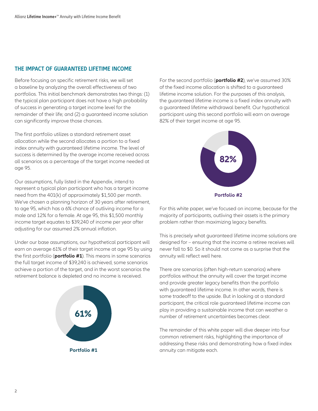## **THE IMPACT OF GUARANTEED LIFETIME INCOME**

Before focusing on specific retirement risks, we will set a baseline by analyzing the overall effectiveness of two portfolios. This initial benchmark demonstrates two things: (1) the typical plan participant does not have a high probability of success in generating a target income level for the remainder of their life; and (2) a guaranteed income solution can significantly improve those chances.

The first portfolio utilizes a standard retirement asset allocation while the second allocates a portion to a fixed index annuity with guaranteed lifetime income. The level of success is determined by the average income received across all scenarios as a percentage of the target income needed at age 95.

Our assumptions, fully listed in the Appendix, intend to represent a typical plan participant who has a target income need from the 401(k) of approximately \$1,500 per month. We've chosen a planning horizon of 30 years after retirement, to age 95, which has a 6% chance of outliving income for a male and 12% for a female. At age 95, this \$1,500 monthly income target equates to \$39,240 of income per year after adjusting for our assumed 2% annual inflation.

Under our base assumptions, our hypothetical participant will earn on average 61% of their target income at age 95 by using the first portfolio (**portfolio #1**). This means in some scenarios the full target income of \$39,240 is achieved, some scenarios achieve a portion of the target, and in the worst scenarios the retirement balance is depleted and no income is received.



For the second portfolio (**portfolio #2**), we've assumed 30% of the fixed income allocation is shifted to a guaranteed lifetime income solution. For the purposes of this analysis, the guaranteed lifetime income is a fixed index annuity with a guaranteed lifetime withdrawal benefit. Our hypothetical participant using this second portfolio will earn on average 82% of their target income at age 95.



For this white paper, we've focused on income, because for the majority of participants, outliving their assets is the primary problem rather than maximizing legacy benefits.

This is precisely what guaranteed lifetime income solutions are designed for – ensuring that the income a retiree receives will never fall to \$0. So it should not come as a surprise that the annuity will reflect well here.

There are scenarios (often high-return scenarios) where portfolios without the annuity will cover the target income and provide greater legacy benefits than the portfolio with guaranteed lifetime income. In other words, there is some tradeoff to the upside. But in looking at a standard participant, the critical role guaranteed lifetime income can play in providing a sustainable income that can weather a number of retirement uncertainties becomes clear.

The remainder of this white paper will dive deeper into four common retirement risks, highlighting the importance of addressing these risks and demonstrating how a fixed index **Portfolio #1 annuity can mitigate each.**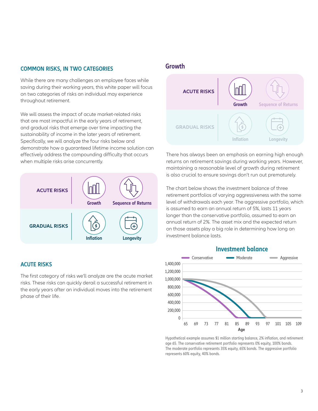## **COMMON RISKS, IN TWO CATEGORIES**

While there are many challenges an employee faces while saving during their working years, this white paper will focus on two categories of risks an individual may experience throughout retirement.

We will assess the impact of acute market-related risks that are most impactful in the early years of retirement, and gradual risks that emerge over time impacting the sustainability of income in the later years of retirement. Specifically, we will analyze the four risks below and demonstrate how a guaranteed lifetime income solution can effectively address the compounding difficulty that occurs when multiple risks arise concurrently.



## **ACUTE RISKS**

The first category of risks we'll analyze are the acute market risks. These risks can quickly derail a successful retirement in the early years after an individual moves into the retirement phase of their life.

## **Growth**



There has always been an emphasis on earning high enough returns on retirement savings during working years. However, maintaining a reasonable level of growth during retirement is also crucial to ensure savings don't run out prematurely.

The chart below shows the investment balance of three retirement portfolios of varying aggressiveness with the same level of withdrawals each year. The aggressive portfolio, which is assumed to earn an annual return of 5%, lasts 11 years longer than the conservative portfolio, assumed to earn an annual return of 2%. The asset mix and the expected return on those assets play a big role in determining how long an investment balance lasts.



Hypothetical example assumes \$1 million starting balance, 2% inflation, and retirement age 65. The conservative retirement portfolio represents 0% equity, 100% bonds. The moderate portfolio represents 35% equity, 65% bonds. The aggressive portfolio represents 60% equity, 40% bonds.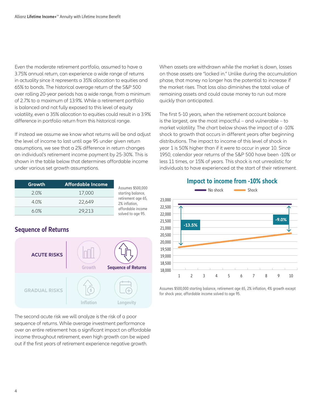Even the moderate retirement portfolio, assumed to have a 3.75% annual return, can experience a wide range of returns in actuality since it represents a 35% allocation to equities and 65% to bonds. The historical average return of the S&P 500 over rolling 20-year periods has a wide range, from a minimum of 2.7% to a maximum of 13.9%. While a retirement portfolio is balanced and not fully exposed to this level of equity volatility, even a 35% allocation to equities could result in a 3.9% difference in portfolio return from this historical range.

If instead we assume we know what returns will be and adjust the level of income to last until age 95 under given return assumptions, we see that a 2% difference in return changes an individual's retirement income payment by 25-30%. This is shown in the table below that determines affordable income under various set growth assumptions.

| Growth | 'Aff <u>o</u> rdable Income |
|--------|-----------------------------|
| 20%    | 17,000                      |
| 40%    | 22.649                      |
| 60%    | 29.213                      |

## **Sequence of Returns**



The second acute risk we will analyze is the risk of a poor sequence of returns. While average investment performance over an entire retirement has a significant impact on affordable income throughout retirement, even high growth can be wiped out if the first years of retirement experience negative growth.

When assets are withdrawn while the market is down, losses on those assets are "locked in." Unlike during the accumulation phase, that money no longer has the potential to increase if the market rises. That loss also diminishes the total value of remaining assets and could cause money to run out more quickly than anticipated.

The first 5-10 years, when the retirement account balance is the largest, are the most impactful – and vulnerable – to market volatility. The chart below shows the impact of a -10% shock to growth that occurs in different years after beginning distributions. The impact to income of this level of shock in year 1 is 50% higher than if it were to occur in year 10. Since 1950, calendar year returns of the S&P 500 have been -10% or less 11 times, or 15% of years. This shock is not unrealistic for individuals to have experienced at the start of their retirement.



**Impact to income from -10% shock**

Assumes \$500,000 starting balance, retirement age 65, 2% inflation, 4% growth except for shock year, affordable income solved to age 95.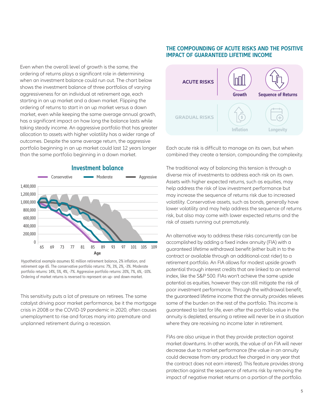Even when the overall level of growth is the same, the ordering of returns plays a significant role in determining when an investment balance could run out. The chart below shows the investment balance of three portfolios of varying aggressiveness for an individual at retirement age, each starting in an up market and a down market. Flipping the ordering of returns to start in an up market versus a down market, even while keeping the same average annual growth, has a significant impact on how long the balance lasts while taking steady income. An aggressive portfolio that has greater allocation to assets with higher volatility has a wider range of outcomes. Despite the same average return, the aggressive portfolio beginning in an up market could last 12 years longer than the same portfolio beginning in a down market.



## **Investment balance**

Hypothetical example assumes \$1 million retirement balance, 2% inflation, and retirement age 65. The conservative portfolio returns: 7%, 3%, 2%, -3%. Moderate portfolio returns: 14%, 5%, 4%, -7%. Aggressive portfolio returns: 20%, 7%, 6%, -10%. Ordering of market returns is reversed to represent an up- and down-market.

This sensitivity puts a lot of pressure on retirees. The same catalyst driving poor market performance, be it the mortgage crisis in 2008 or the COVID-19 pandemic in 2020, often causes unemployment to rise and forces many into premature and unplanned retirement during a recession.

## **THE COMPOUNDING OF ACUTE RISKS AND THE POSITIVE IMPACT OF GUARANTEED LIFETIME INCOME**



Each acute risk is difficult to manage on its own, but when combined they create a tension, compounding the complexity.

The traditional way of balancing this tension is through a diverse mix of investments to address each risk on its own. Assets with higher expected returns, such as equities, may help address the risk of low investment performance but may increase the sequence of returns risk due to increased volatility. Conservative assets, such as bonds, generally have lower volatility and may help address the sequence of returns risk, but also may come with lower expected returns and the risk of assets running out prematurely.

An alternative way to address these risks concurrently can be accomplished by adding a fixed index annuity (FIA) with a guaranteed lifetime withdrawal benefit (either built in to the contract or available through an additional-cost rider) to a retirement portfolio. An FIA allows for modest upside growth potential through interest credits that are linked to an external index, like the S&P 500. FIAs won't achieve the same upside potential as equities, however they can still mitigate the risk of poor investment performance. Through the withdrawal benefit, the guaranteed lifetime income that the annuity provides relieves some of the burden on the rest of the portfolio. This income is guaranteed to last for life, even after the portfolio value in the annuity is depleted, ensuring a retiree will never be in a situation where they are receiving no income later in retirement.

FIAs are also unique in that they provide protection against market downturns. In other words, the value of an FIA will never decrease due to market performance (the value in an annuity could decrease from any product fee charged in any year that the contract does not earn interest). This feature provides strong protection against the sequence of returns risk by removing the impact of negative market returns on a portion of the portfolio.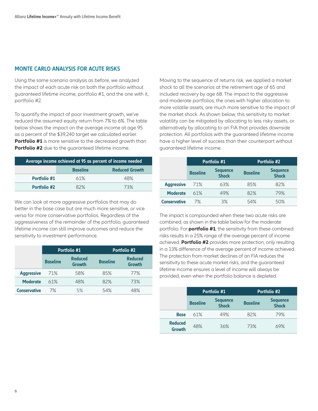## **MONTE CARLO ANALYSIS FOR ACUTE RISKS**

Using the same scenario analysis as before, we analyzed the impact of each acute risk on both the portfolio without guaranteed lifetime income, portfolio #1, and the one with it, portfolio #2.

To quantify the impact of poor investment growth, we've reduced the assumed equity return from 7% to 6%. The table below shows the impact on the average income at age 95 as a percent of the \$39,240 target we calculated earlier. **Portfolio #1** is more sensitive to the decreased arowth than **Portfolio #2** due to the quaranteed lifetime income.

| Average income achieved at 95 as percent of income needed |                                          |     |  |
|-----------------------------------------------------------|------------------------------------------|-----|--|
|                                                           | <b>Reduced Growth</b><br><b>Baseline</b> |     |  |
| Portfolio #1                                              | 61%                                      | 48% |  |
| <b>Portfolio #2</b>                                       | 82%                                      | 73% |  |

We can look at more aggressive portfolios that may do better in the base case but are much more sensitive, or vice versa for more conservative portfolios. Regardless of the aggressiveness of the remainder of the portfolio, guaranteed lifetime income can still improve outcomes and reduce the sensitivity to investment performance.

|                     | Portfolio #1    |                          |                 | <b>Portfolio #2</b>      |
|---------------------|-----------------|--------------------------|-----------------|--------------------------|
|                     | <b>Baseline</b> | <b>Reduced</b><br>Growth | <b>Baseline</b> | <b>Reduced</b><br>Growth |
| <b>Aggressive</b>   | 71%             | 58%                      | 85%             | 77%                      |
| <b>Moderate</b>     | 61%             | 48%                      | 82%             | 73%                      |
| <b>Conservative</b> | 7%              | 5%                       | 54%             | 48%                      |

Moving to the sequence of returns risk, we applied a market shock to all the scenarios at the retirement age of 65 and included recovery by age 68. The impact to the aggressive and moderate portfolios, the ones with higher allocation to more volatile assets, are much more sensitive to the impact of the market shock. As shown below, this sensitivity to market volatility can be mitigated by allocating to less risky assets, or alternatively by allocating to an FIA that provides downside protection. All portfolios with the guaranteed lifetime income have a higher level of success than their counterpart without guaranteed lifetime income.

|                     | Portfolio #1    |                                 | Portfolio #2    |                                 |
|---------------------|-----------------|---------------------------------|-----------------|---------------------------------|
|                     | <b>Baseline</b> | <b>Sequence</b><br><b>Shock</b> | <b>Baseline</b> | <b>Sequence</b><br><b>Shock</b> |
| <b>Aggressive</b>   | 71%             | 63%                             | 85%             | 82%                             |
| <b>Moderate</b>     | 61%             | 49%                             | 82%             | 79%                             |
| <b>Conservative</b> | 7%              | 3%                              | 54%             | 50%                             |

The impact is compounded when these two acute risks are combined, as shown in the table below for the moderate portfolio. For **portfolio #1**, the sensitivity from these combined risks results in a 25% range of the average percent of income achieved. **Portfolio #2** provides more protection, only resulting in a 13% difference of the average percent of income achieved. The protection from market declines of an FIA reduces the sensitivity to these acute market risks, and the guaranteed lifetime income ensures a level of income will always be provided, even when the portfolio balance is depleted.

|                                 | Portfolio #1    |                                 | Portfolio #2    |                                 |
|---------------------------------|-----------------|---------------------------------|-----------------|---------------------------------|
|                                 | <b>Baseline</b> | <b>Sequence</b><br><b>Shock</b> | <b>Baseline</b> | <b>Sequence</b><br><b>Shock</b> |
| <b>Base</b>                     | 61%             | 49%                             | 82%             | 79%                             |
| <b>Reduced</b><br><b>Growth</b> | 48%             | 36%                             | 73%             | 69%                             |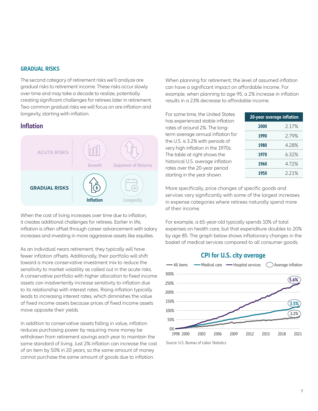### **GRADUAL RISKS**

The second category of retirement risks we'll analyze are gradual risks to retirement income. These risks occur slowly over time and may take a decade to realize, potentially creating significant challenges for retirees later in retirement. Two common gradual risks we will focus on are inflation and longevity, starting with inflation.

## **Inflation**



When the cost of living increases over time due to inflation, it creates additional challenges for retirees. Earlier in life, inflation is often offset through career advancement with salary increases and investing in more aggressive assets like equities.

As an individual nears retirement, they typically will have fewer inflation offsets. Additionally, their portfolio will shift toward a more conservative investment mix to reduce the sensitivity to market volatility as called out in the acute risks. A conservative portfolio with higher allocation to fixed income assets can inadvertently increase sensitivity to inflation due to its relationship with interest rates. Rising inflation typically leads to increasing interest rates, which diminishes the value of fixed income assets because prices of fixed income assets move opposite their yields.

In addition to conservative assets falling in value, inflation reduces purchasing power by requiring more money be withdrawn from retirement savings each year to maintain the same standard of living. Just 2% inflation can increase the cost of an item by 50% in 20 years, so the same amount of money cannot purchase the same amount of goods due to inflation.

When planning for retirement, the level of assumed inflation can have a significant impact on affordable income. For example, when planning to age 95, a 2% increase in inflation results in a 23% decrease to affordable income.

For some time, the United States has experienced stable inflation rates of around 2%. The longterm average annual inflation for the U.S. is 3.2% with periods of very high inflation in the 1970s. The table at right shows the historical U.S. average inflation rates over the 20-year period starting in the year shown.

|      | 20-year average inflation |  |  |
|------|---------------------------|--|--|
| 2000 | 217%                      |  |  |
| 1990 | 279%                      |  |  |
| 1980 | 428%                      |  |  |
| 1970 | 632%                      |  |  |
| 1960 | 472%                      |  |  |
| 1950 | 221%                      |  |  |

More specifically, price changes of specific goods and services vary significantly with some of the largest increases in expense categories where retirees naturally spend more of their income.

For example, a 65-year-old typically spends 10% of total expenses on health care, but that expenditure doubles to 20% by age 85. The graph below shows inflationary changes in the basket of medical services compared to all consumer goods.





Source: U.S. Bureau of Labor Statistics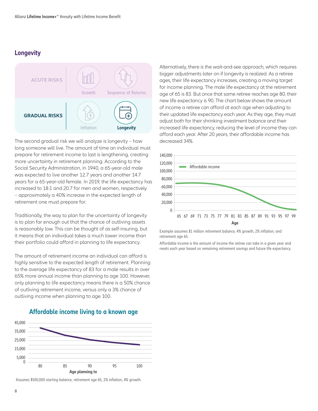## **Longevity**



The second gradual risk we will analyze is longevity – how decreased 34%. long someone will live. The amount of time an individual must prepare for retirement income to last is lengthening, creating more uncertainty in retirement planning. According to the Social Security Administration, in 1940, a 65-year-old male was expected to live another 12.7 years and another 14.7 years for a 65-year-old female. In 2019, the life expectancy has increased to 18.1 and 20.7 for men and women, respectively – approximately a 40% increase in the expected length of retirement one must prepare for.

Traditionally, the way to plan for the uncertainty of longevity is to plan far enough out that the chance of outliving assets is reasonably low. This can be thought of as self-insuring, but it means that an individual takes a much lower income than their portfolio could afford in planning to life expectancy.

The amount of retirement income an individual can afford is highly sensitive to the expected length of retirement. Planning to the average life expectancy of 83 for a male results in over 65% more annual income than planning to age 100. However, only planning to life expectancy means there is a 50% chance of outliving retirement income, versus only a 3% chance of outliving income when planning to age 100.



**Affordable income living to a known age**

Assumes \$500,000 starting balance, retirement age 65, 2% inflation, 4% growth.

Alternatively, there is the wait-and-see approach, which requires bigger adjustments later on if longevity is realized. As a retiree ages, their life expectancy increases, creating a moving target for income planning. The male life expectancy at the retirement age of 65 is 83. But once that same retiree reaches age 80, their new life expectancy is 90. The chart below shows the amount of income a retiree can afford at each age when adjusting to their updated life expectancy each year. As they age, they must adjust both for their shrinking investment balance and their increased life expectancy, reducing the level of income they can afford each year. After 20 years, their affordable income has



Example assumes \$1 million retirement balance, 4% growth, 2% inflation, and retirement age 65.

Affordable income is the amount of income the retiree can take in a given year and resets each year based on remaining retirement savings and future life expectancy.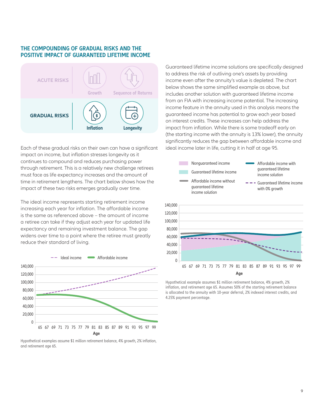### **THE COMPOUNDING OF GRADUAL RISKS AND THE POSITIVE IMPACT OF GUARANTEED LIFETIME INCOME**



Each of these gradual risks on their own can have a significant ideal income later in life, cutting it in half at age 95. impact on income, but inflation stresses longevity as it continues to compound and reduces purchasing power through retirement. This is a relatively new challenge retirees must face as life expectancy increases and the amount of time in retirement lengthens. The chart below shows how the impact of these two risks emerges gradually over time.

The ideal income represents starting retirement income increasing each year for inflation. The affordable income is the same as referenced above – the amount of income a retiree can take if they adjust each year for updated life expectancy and remaining investment balance. The gap widens over time to a point where the retiree must greatly reduce their standard of living.



Hypothetical examples assume \$1 million retirement balance, 4% growth, 2% inflation, and retirement age 65.

Guaranteed lifetime income solutions are specifically designed to address the risk of outliving one's assets by providing income even after the annuity's value is depleted. The chart below shows the same simplified example as above, but includes another solution with guaranteed lifetime income from an FIA with increasing income potential. The increasing income feature in the annuity used in this analysis means the guaranteed income has potential to grow each year based on interest credits. These increases can help address the impact from inflation. While there is some tradeoff early on (the starting income with the annuity is 13% lower), the annuity significantly reduces the gap between affordable income and



Hypothetical example assumes \$1 million retirement balance, 4% growth, 2% inflation, and retirement age 65. Assumes 50% of the starting retirement balance is allocated to the annuity with 10-year deferral, 2% indexed interest credits, and 4.25% payment percentage.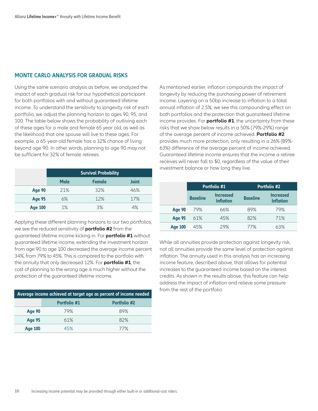### **MONTE CARLO ANALYSIS FOR GRADUAL RISKS**

Using the same scenario analysis as before, we analyzed the impact of each gradual risk for our hypothetical participant for both portfolios with and without guaranteed lifetime income. To understand the sensitivity to longevity risk of each portfolio, we adjust the planning horizon to ages 90, 95, and 100. The table below shows the probability of outliving each of these ages for a male and female 65 year old, as well as the likelihood that one spouse will live to these ages. For example, a 65-year-old female has a 32% chance of living beyond age 90. In other words, planning to age 90 may not be sufficient for 32% of female retirees.

|                | <b>Survival Probability</b> |               |              |
|----------------|-----------------------------|---------------|--------------|
|                | <b>Male</b>                 | <b>Female</b> | <b>Joint</b> |
| <b>Age 90</b>  | 21%                         | 32%           | 46%          |
| <b>Age 95</b>  | 6%                          | 12%           | 17%          |
| <b>Age 100</b> | $1\%$                       | 3%            | 4%           |

Applying these different planning horizons to our two portfolios, we see the reduced sensitivity of **portfolio #2** from the guaranteed lifetime income kicking in. For **portfolio #1** without guaranteed lifetime income, extending the investment horizon from age 90 to age 100 decreased the average income percent 34%, from 79% to 45%. This is compared to the portfolio with the annuity that only decreased 12%. For **portfolio #1**, the cost of planning to the wrong age is much higher without the protection of the guaranteed lifetime income.

| Average income achieved at target age as percent of income needed |              |                     |
|-------------------------------------------------------------------|--------------|---------------------|
|                                                                   | Portfolio #1 | <b>Portfolio #2</b> |
| Age 90                                                            | 79%          | 89%                 |
| <b>Age 95</b>                                                     | 61%          | 82%                 |
| Age 100                                                           | 45%          | 77%                 |

As mentioned earlier, inflation compounds the impact of longevity by reducing the purchasing power of retirement income. Layering on a 50bp increase to inflation to a total annual inflation of 2.5%, we see this compounding effect on both portfolios and the protection that guaranteed lifetime income provides. For **portfolio #1**, the uncertainty from these risks that we show below results in a 50% (79%-29%) range of the average percent of income achieved. **Portfolio #2** provides much more protection, only resulting in a 26% (89%- 63%) difference of the average percent of income achieved. Guaranteed lifetime income ensures that the income a retiree receives will never fall to \$0, regardless of the value of their investment balance or how long they live.

|                | Portfolio #1    |                                      | <b>Portfolio #2</b> |                                      |  |
|----------------|-----------------|--------------------------------------|---------------------|--------------------------------------|--|
|                | <b>Baseline</b> | <b>Increased</b><br><b>Inflation</b> | <b>Baseline</b>     | <b>Increased</b><br><b>Inflation</b> |  |
| Age 90         | 79%             | 66%                                  | 89%                 | 79%                                  |  |
| <b>Age 95</b>  | 61%             | 45%                                  | 82%                 | 71%                                  |  |
| <b>Age 100</b> | 45%             | 29%                                  | 77%                 | 63%                                  |  |

While all annuities provide protection against longevity risk, not all annuities provide the same level of protection against inflation. The annuity used in this analysis has an increasing income feature, described above, that allows for potential increases to the guaranteed income based on the interest credits. As shown in the results above, this feature can help address the impact of inflation and relieve some pressure from the rest of the portfolio.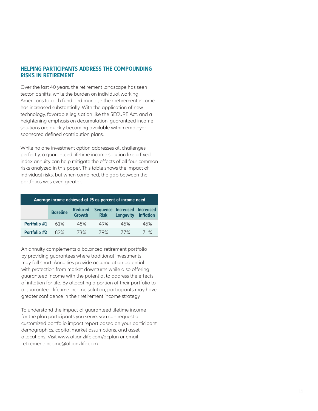## **HELPING PARTICIPANTS ADDRESS THE COMPOUNDING RISKS IN RETIREMENT**

Over the last 40 years, the retirement landscape has seen tectonic shifts, while the burden on individual working Americans to both fund and manage their retirement income has increased substantially. With the application of new technology, favorable legislation like the SECURE Act, and a heightening emphasis on decumulation, guaranteed income solutions are quickly becoming available within employersponsored defined contribution plans.

While no one investment option addresses all challenges perfectly, a guaranteed lifetime income solution like a fixed index annuity can help mitigate the effects of all four common risks analyzed in this paper. This table shows the impact of individual risks, but when combined, the gap between the portfolios was even greater.

| Average income achieved at 95 as percent of income need |                 |                                 |             |                                                  |                  |
|---------------------------------------------------------|-----------------|---------------------------------|-------------|--------------------------------------------------|------------------|
|                                                         | <b>Baseline</b> | <b>Reduced</b><br><b>Growth</b> | <b>Risk</b> | Sequence Increased Increased<br><b>Longevity</b> | <b>Inflation</b> |
| Portfolio #1                                            | 61%             | 48%                             | 49%         | 45%                                              | 45%              |
| <b>Portfolio #2</b>                                     | 82%             | 73%                             | 79%         | 77%                                              | 71%              |

An annuity complements a balanced retirement portfolio by providing guarantees where traditional investments may fall short. Annuities provide accumulation potential with protection from market downturns while also offering guaranteed income with the potential to address the effects of inflation for life. By allocating a portion of their portfolio to a guaranteed lifetime income solution, participants may have greater confidence in their retirement income strategy.

To understand the impact of guaranteed lifetime income for the plan participants you serve, you can request a customized portfolio impact report based on your participant demographics, capital market assumptions, and asset allocations. Visit www.allianzlife.com/dcplan or email retirement-income@allianzlife.com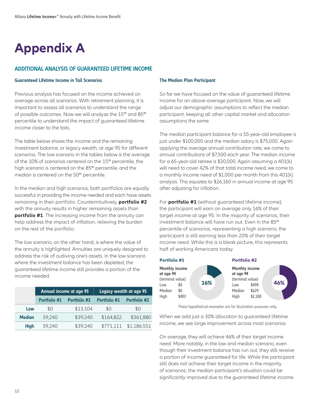## **Appendix A**

## **ADDITIONAL ANALYSIS OF GUARANTEED LIFETIME INCOME**

#### **Guaranteed Lifetime Income in Tail Scenarios**

Previous analysis has focused on the income achieved on average across all scenarios. With retirement planning, it is important to assess all scenarios to understand the range of possible outcomes. Now we will analyze the 15<sup>th</sup> and 85<sup>th</sup> percentile to understand the impact of guaranteed lifetime income closer to the tails.

The table below shows the income and the remaining investment balance, or legacy wealth, at age 95 for different scenarios. The low scenario in the tables below is the average of the 10% of scenarios centered on the 15<sup>th</sup> percentile, the high scenario is centered on the 85<sup>th</sup> percentile, and the median is centered on the 50<sup>th</sup> percentile.

In the median and high scenarios, both portfolios are equally successful in providing the income needed and each have assets remaining in their portfolio. Counterintuitively, **portfolio #2** with the annuity results in higher remaining assets than **portfolio #1**. The increasing income from the annuity can help address the impact of inflation, relieving the burden on the rest of the portfolio.

The low scenario, on the other hand, is where the value of the annuity is highlighted. Annuities are uniquely designed to address the risk of outliving one's assets. In the low scenario where the investment balance has been depleted, the guaranteed lifetime income still provides a portion of the income needed.

|               | Annual income at age 95 |                     | Legacy wealth at age 95 |                     |
|---------------|-------------------------|---------------------|-------------------------|---------------------|
|               | Portfolio #1            | <b>Portfolio #2</b> | Portfolio #1            | <b>Portfolio #2</b> |
| Low           | \$0                     | \$13,104            | \$0                     | \$0                 |
| <b>Median</b> | 39.240                  | \$39,240            | \$164,822               | \$361,880           |
| <b>High</b>   | 39,240                  | \$39,240            | \$771,111               | \$1,186,551         |

#### **The Median Plan Participant**

So far we have focused on the value of guaranteed lifetime income for an above-average participant. Now, we will adjust our demographic assumptions to reflect the median participant, keeping all other capital market and allocation assumptions the same.

The median participant balance for a 55-year-old employee is just under \$100,000 and the median salary is \$75,000. Again applying the average annual contribution rate, we come to annual contributions of \$7,500 each year. The median income for a 65-year-old retiree is \$30,000. Again assuming a 401(k) will need to cover 42% of that total income need, we come to a monthly income need of \$1,000 per month from this 401(k) analysis. This equates to \$26,160 in annual income at age 95 after adjusting for inflation.

For **portfolio #1** (without guaranteed lifetime income), the participant will earn on average only 16% of their target income at age 95. In the majority of scenarios, their investment balance will have run out. Even in the 85<sup>th</sup> percentile of scenarios, representing a high scenario, the participant is still earning less than 20% of their target income need. While this is a bleak picture, this represents half of working Americans today.



These hypothetical examples are for illustration purposes only.

When we add just a 30% allocation to guaranteed lifetime income, we see large improvement across most scenarios.

On average, they will achieve 46% of their target income need. More notably, in the low and median scenario, even though their investment balance has run out, they still receive a portion of income guaranteed for life. While the participant still does not achieve their target income in the majority of scenarios, the median participant's situation could be significantly improved due to the guaranteed lifetime income.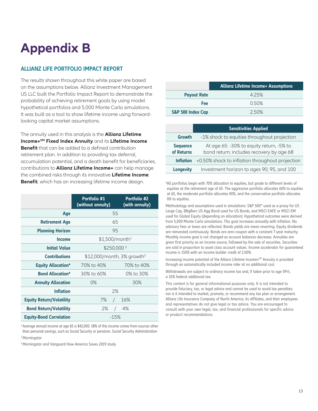## **Appendix B**

## **ALLIANZ LIFE PORTFOLIO IMPACT REPORT**

The results shown throughout this white paper are based on the assumptions below. Allianz Investment Management US LLC built the Portfolio Impact Report to demonstrate the probability of achieving retirement goals by using model hypothetical portfolios and 5,000 Monte Carlo simulations. It was built as a tool to show lifetime income using forwardlooking capital market assumptions.

The annuity used in this analysis is the **Allianz Lifetime Income+SM Fixed Index Annuity** and its **Lifetime Income Benefit** that can be added to a defined contribution retirement plan. In addition to providing tax deferral, accumulation potential, and a death benefit for beneficiaries, contributions to **Allianz Lifetime Income+** can help manage the combined risks through its innovative **Lifetime Income**  Benefit, which has an increasing lifetime income design.<br>\*All portfolios begin with 70% allocation to equities, but grade to different levels of

|                                 | Portfolio #1<br>(without annuity)        | Portfolio #2<br>(with annuity) |  |
|---------------------------------|------------------------------------------|--------------------------------|--|
| Age                             |                                          | 55                             |  |
| <b>Retirement Age</b>           | 65                                       |                                |  |
| <b>Planning Horizon</b>         | 95                                       |                                |  |
| <b>Income</b>                   | $$1,500/m$ onth <sup>1</sup>             |                                |  |
| <b>Initial Value</b>            | \$250,000 <sup>2</sup>                   |                                |  |
| <b>Contributions</b>            | $$12,000/m$ onth, 3% growth <sup>3</sup> |                                |  |
| <b>Equity Allocation*</b>       | 70% to 40%<br>70% to 40%                 |                                |  |
| <b>Bond Allocation*</b>         | 30% to 60%                               | 0% to 30%                      |  |
| <b>Annuity Allocation</b>       | O%                                       | 30%                            |  |
| <b>Inflation</b>                |                                          | 2%                             |  |
| <b>Equity Return/Volatility</b> | 7%<br>$\sqrt{2}$                         | 16%                            |  |
| <b>Bond Return/Volatility</b>   | 2%                                       | 4%<br>$\sqrt{2}$               |  |
| <b>Equity-Bond Correlation</b>  | $-15%$                                   |                                |  |

<sup>1</sup> Average annual income at age 65 is \$42,000. 58% of this income comes from sources other than personal savings, such as Social Security or pensions. Social Security Administration 2 Morningstar

3 Morningstar and Vanguard How America Saves 2019 study

|                    | <b>Allianz Lifetime Income+ Assumptions</b> |  |  |
|--------------------|---------------------------------------------|--|--|
| <b>Payout Rate</b> | 425%                                        |  |  |
| Fee                | 0.50%                                       |  |  |
| S&P 500 Index Cap  | 2.50%                                       |  |  |
|                    |                                             |  |  |

|                               | <b>Sensitivities Applied</b>                                                         |
|-------------------------------|--------------------------------------------------------------------------------------|
| Growth                        | -1% shock to equities throughout projection                                          |
| <b>Sequence</b><br>of Returns | At age 65: -30% to equity return, -5% to<br>bond return; includes recovery by age 68 |
| <b>Inflation</b>              | +0.50% shock to inflation throughout projection                                      |
| <b>Longevity</b>              | Investment horizon to ages 90, 95, and 100                                           |

equities at the retirement age of 65. The aggressive portfolio allocates 60% to equities at 65, the moderate portfolio allocates 40%, and the conservative portfolio allocates 0% to equities.

Methodology and assumptions used in simulations: S&P 500® used as a proxy for US Large Cap, BBgBarc US Agg Bond used for US Bonds, and MSCI EAFE or MSCI EM used for Global Equity (depending on allocation). Hypothetical outcomes were derived from 5,000 Monte Carlo simulations. This goal increases annually with inflation. No advisory fees or taxes are reflected. Bonds yields are mean reverting. Equity dividends are reinvested continuously. Bonds are zero-coupon with a constant 7-year maturity. Monthly income goal is not changed as account balances decrease. Annuities are given first priority as an income source, followed by the sale of securities. Securities are sold in proportion to asset class account values. Income accelerator for guaranteed income is 150% with an income builder credit of 2.00%.

Increasing income potential of the Allianz Lifetime Income+SM Annuity is provided through an automatically included income rider at no additional cost.

Withdrawals are subject to ordinary income tax and, if taken prior to age 59½, a 10% federal additional tax.

This content is for general informational purposes only. It is not intended to provide fiduciary, tax, or legal advice and cannot be used to avoid tax penalties; nor is it intended to market, promote, or recommend any tax plan or arrangement. Allianz Life Insurance Company of North America, its affiliates, and their employees and representatives do not give legal or tax advice. You are encouraged to consult with your own legal, tax, and financial professionals for specific advice or product recommendations.